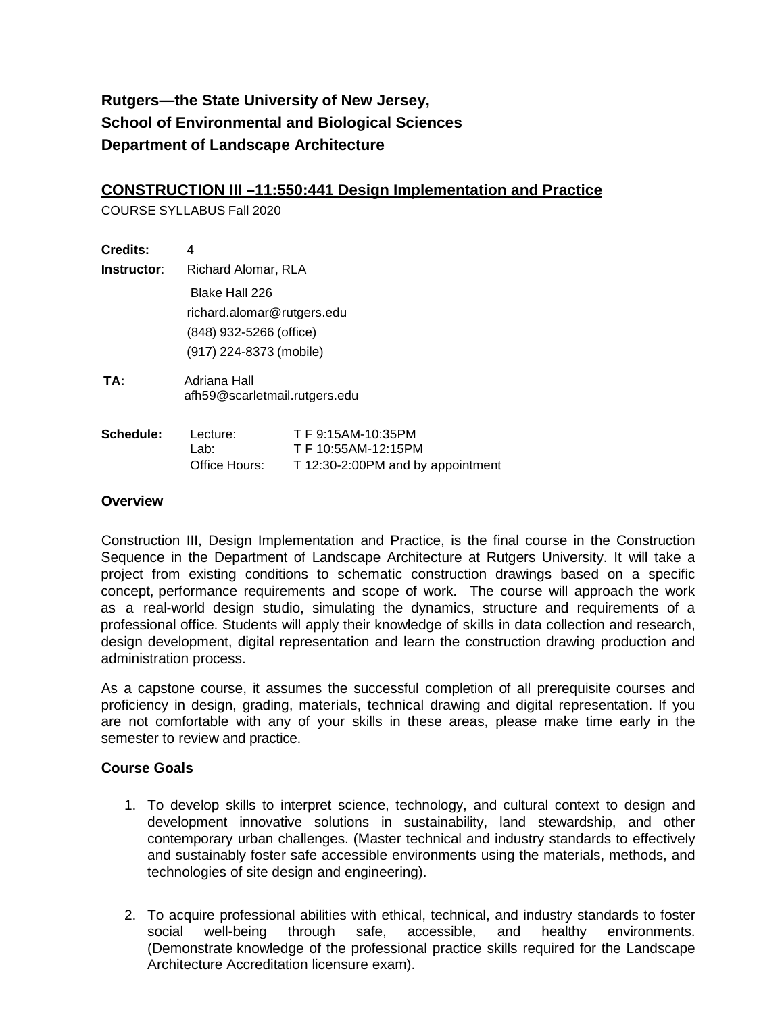# **Rutgers—the State University of New Jersey, School of Environmental and Biological Sciences Department of Landscape Architecture**

## **CONSTRUCTION III –11:550:441 Design Implementation and Practice**

COURSE SYLLABUS Fall 2020

| <b>Credits:</b> | 4                                             |                    |  |
|-----------------|-----------------------------------------------|--------------------|--|
| Instructor:     | Richard Alomar, RLA                           |                    |  |
|                 | Blake Hall 226                                |                    |  |
|                 | richard.alomar@rutgers.edu                    |                    |  |
|                 | (848) 932-5266 (office)                       |                    |  |
|                 | (917) 224-8373 (mobile)                       |                    |  |
| TA:             | Adriana Hall<br>afh59@scarletmail.rutgers.edu |                    |  |
| Schedule:       | Lecture:                                      | T F 9:15AM-10:35PM |  |

| Schedule: | Lecture:      | TE 9:15AM-10:35PM                 |
|-----------|---------------|-----------------------------------|
|           | Lab:          | T F 10:55AM-12:15PM               |
|           | Office Hours: | T 12:30-2:00PM and by appointment |

#### **Overview**

Construction III, Design Implementation and Practice, is the final course in the Construction Sequence in the Department of Landscape Architecture at Rutgers University. It will take a project from existing conditions to schematic construction drawings based on a specific concept, performance requirements and scope of work. The course will approach the work as a real-world design studio, simulating the dynamics, structure and requirements of a professional office. Students will apply their knowledge of skills in data collection and research, design development, digital representation and learn the construction drawing production and administration process.

As a capstone course, it assumes the successful completion of all prerequisite courses and proficiency in design, grading, materials, technical drawing and digital representation. If you are not comfortable with any of your skills in these areas, please make time early in the semester to review and practice.

#### **Course Goals**

- 1. To develop skills to interpret science, technology, and cultural context to design and development innovative solutions in sustainability, land stewardship, and other contemporary urban challenges. (Master technical and industry standards to effectively and sustainably foster safe accessible environments using the materials, methods, and technologies of site design and engineering).
- 2. To acquire professional abilities with ethical, technical, and industry standards to foster social well-being through safe, accessible, and healthy environments. (Demonstrate knowledge of the professional practice skills required for the Landscape Architecture Accreditation licensure exam).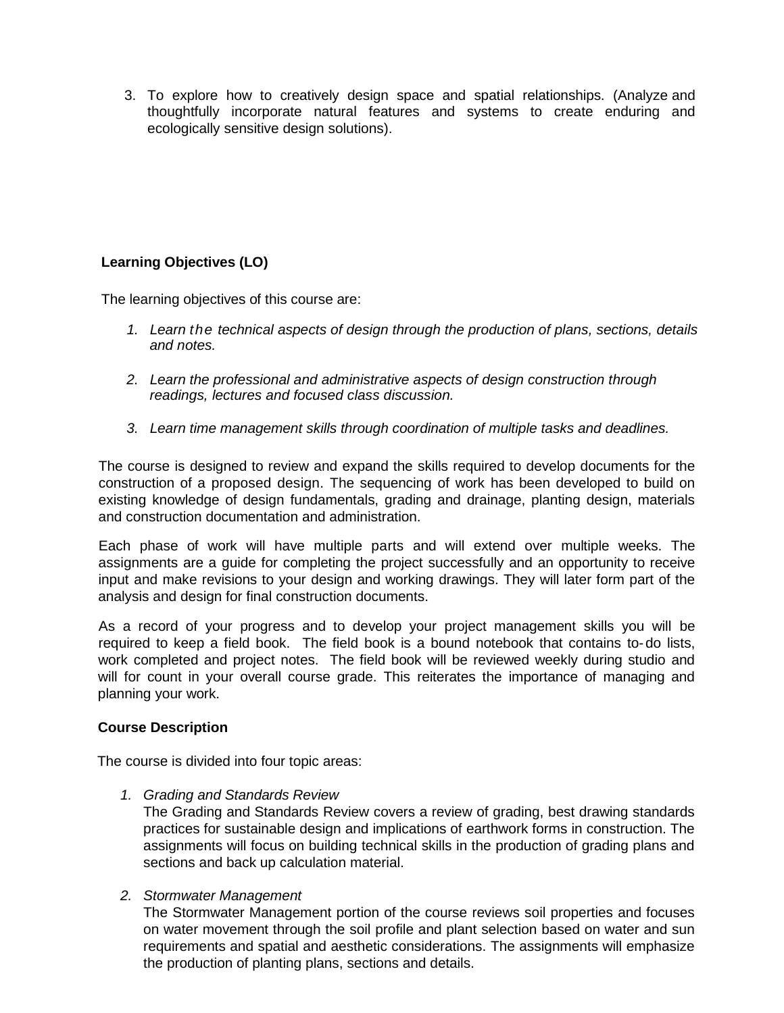3. To explore how to creatively design space and spatial relationships. (Analyze and thoughtfully incorporate natural features and systems to create enduring and ecologically sensitive design solutions).

## **Learning Objectives (LO)**

The learning objectives of this course are:

- *1. Learn the technical aspects of design through the production of plans, sections, details and notes.*
- *2. Learn the professional and administrative aspects of design construction through readings, lectures and focused class discussion.*
- *3. Learn time management skills through coordination of multiple tasks and deadlines.*

The course is designed to review and expand the skills required to develop documents for the construction of a proposed design. The sequencing of work has been developed to build on existing knowledge of design fundamentals, grading and drainage, planting design, materials and construction documentation and administration.

Each phase of work will have multiple parts and will extend over multiple weeks. The assignments are a guide for completing the project successfully and an opportunity to receive input and make revisions to your design and working drawings. They will later form part of the analysis and design for final construction documents.

As a record of your progress and to develop your project management skills you will be required to keep a field book. The field book is a bound notebook that contains to-do lists, work completed and project notes. The field book will be reviewed weekly during studio and will for count in your overall course grade. This reiterates the importance of managing and planning your work.

## **Course Description**

The course is divided into four topic areas:

*1. Grading and Standards Review*

The Grading and Standards Review covers a review of grading, best drawing standards practices for sustainable design and implications of earthwork forms in construction. The assignments will focus on building technical skills in the production of grading plans and sections and back up calculation material.

*2. Stormwater Management*

The Stormwater Management portion of the course reviews soil properties and focuses on water movement through the soil profile and plant selection based on water and sun requirements and spatial and aesthetic considerations. The assignments will emphasize the production of planting plans, sections and details.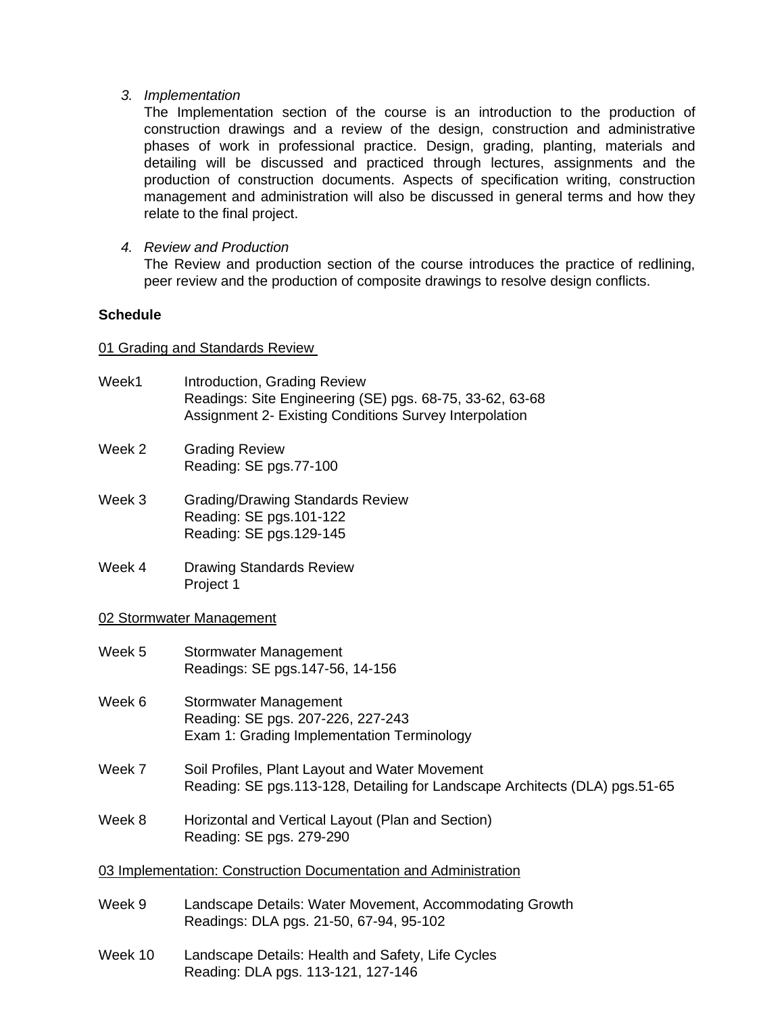#### *3. Implementation*

The Implementation section of the course is an introduction to the production of construction drawings and a review of the design, construction and administrative phases of work in professional practice. Design, grading, planting, materials and detailing will be discussed and practiced through lectures, assignments and the production of construction documents. Aspects of specification writing, construction management and administration will also be discussed in general terms and how they relate to the final project.

*4. Review and Production*

The Review and production section of the course introduces the practice of redlining, peer review and the production of composite drawings to resolve design conflicts.

## **Schedule**

#### 01 Grading and Standards Review

- Week1 Introduction, Grading Review Readings: Site Engineering (SE) pgs. 68-75, 33-62, 63-68 Assignment 2- Existing Conditions Survey Interpolation
- Week 2 Grading Review Reading: SE pgs.77-100
- Week 3 Grading/Drawing Standards Review Reading: SE pgs.101-122 Reading: SE pgs.129-145
- Week 4 Drawing Standards Review Project 1

#### 02 Stormwater Management

- Week 5 Stormwater Management Readings: SE pgs.147-56, 14-156
- Week 6 Stormwater Management Reading: SE pgs. 207-226, 227-243 Exam 1: Grading Implementation Terminology
- Week 7 Soil Profiles, Plant Layout and Water Movement Reading: SE pgs.113-128, Detailing for Landscape Architects (DLA) pgs.51-65
- Week 8 Horizontal and Vertical Layout (Plan and Section) Reading: SE pgs. 279-290

#### 03 Implementation: Construction Documentation and Administration

- Week 9 Landscape Details: Water Movement, Accommodating Growth Readings: DLA pgs. 21-50, 67-94, 95-102
- Week 10 Landscape Details: Health and Safety, Life Cycles Reading: DLA pgs. 113-121, 127-146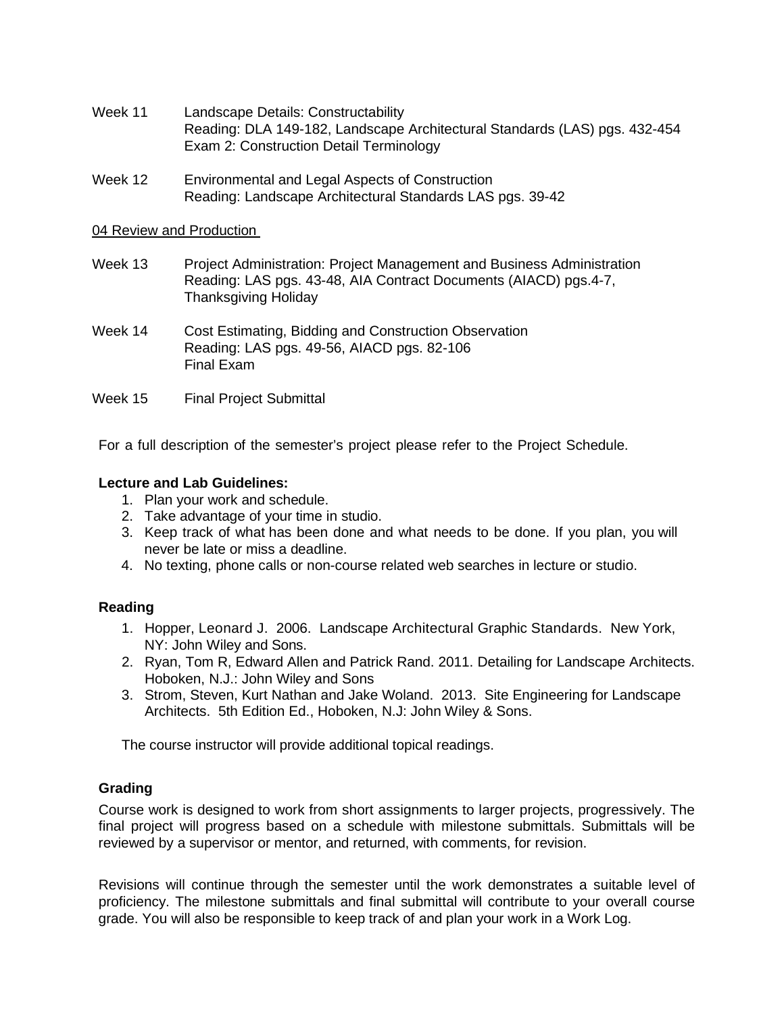- Week 11 Landscape Details: Constructability Reading: DLA 149-182, Landscape Architectural Standards (LAS) pgs. 432-454 Exam 2: Construction Detail Terminology
- Week 12 Environmental and Legal Aspects of Construction Reading: Landscape Architectural Standards LAS pgs. 39-42

#### 04 Review and Production

- Week 13 Project Administration: Project Management and Business Administration Reading: LAS pgs. 43-48, AIA Contract Documents (AIACD) pgs.4-7, Thanksgiving Holiday
- Week 14 Cost Estimating, Bidding and Construction Observation Reading: LAS pgs. 49-56, AIACD pgs. 82-106 Final Exam
- Week 15 Final Project Submittal

For a full description of the semester's project please refer to the Project Schedule.

### **Lecture and Lab Guidelines:**

- 1. Plan your work and schedule.
- 2. Take advantage of your time in studio.
- 3. Keep track of what has been done and what needs to be done. If you plan, you will never be late or miss a deadline.
- 4. No texting, phone calls or non-course related web searches in lecture or studio.

## **Reading**

- 1. Hopper, Leonard J. 2006. Landscape Architectural Graphic Standards. New York, NY: John Wiley and Sons.
- 2. Ryan, Tom R, Edward Allen and Patrick Rand. 2011. Detailing for Landscape Architects. Hoboken, N.J.: John Wiley and Sons
- 3. Strom, Steven, Kurt Nathan and Jake Woland. 2013. Site Engineering for Landscape Architects. 5th Edition Ed., Hoboken, N.J: John Wiley & Sons.

The course instructor will provide additional topical readings.

## **Grading**

Course work is designed to work from short assignments to larger projects, progressively. The final project will progress based on a schedule with milestone submittals. Submittals will be reviewed by a supervisor or mentor, and returned, with comments, for revision.

Revisions will continue through the semester until the work demonstrates a suitable level of proficiency. The milestone submittals and final submittal will contribute to your overall course grade. You will also be responsible to keep track of and plan your work in a Work Log.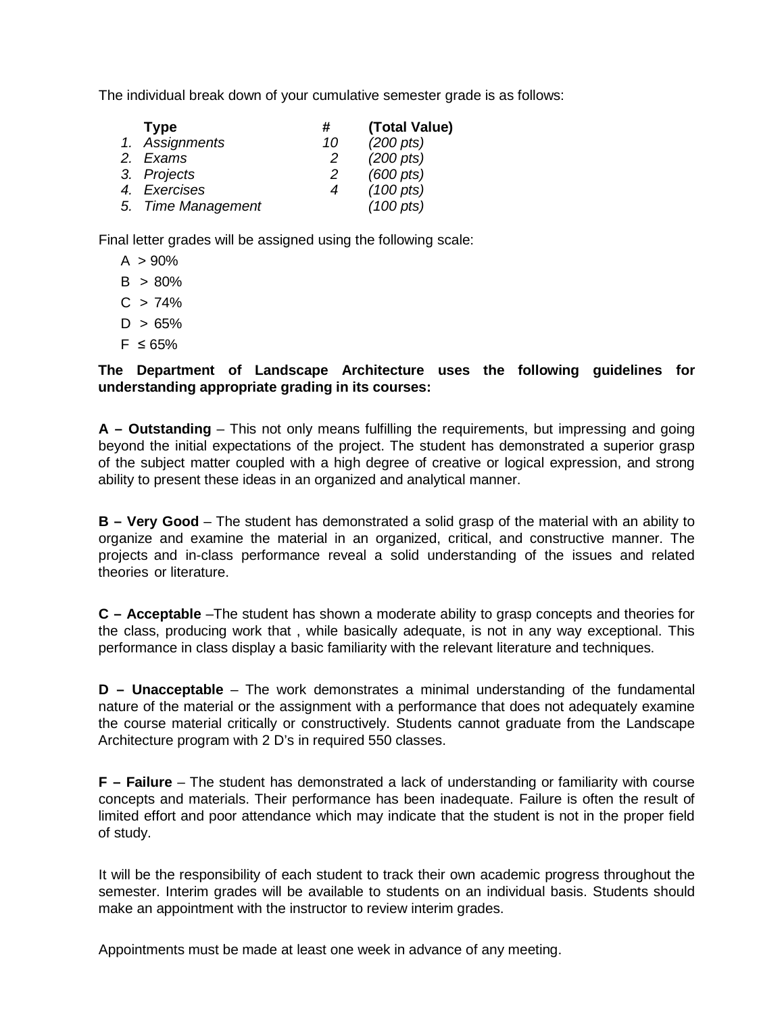The individual break down of your cumulative semester grade is as follows:

| <b>Type</b>        | #             | (Total Value)       |
|--------------------|---------------|---------------------|
| 1. Assignments     | 10            | $(200 \text{ pts})$ |
| 2. Exams           | 2             | $(200 \text{ pts})$ |
| 3. Projects        | $\mathcal{P}$ | $(600 \text{ pts})$ |
| 4. Exercises       | 4             | $(100 \text{ pts})$ |
| 5. Time Management |               | $(100 \text{ pts})$ |

Final letter grades will be assigned using the following scale:

- $A > 90\%$
- $B > 80%$
- $C > 74%$
- $D > 65%$
- $F \leq 65\%$

**The Department of Landscape Architecture uses the following guidelines for understanding appropriate grading in its courses:**

**A – Outstanding** – This not only means fulfilling the requirements, but impressing and going beyond the initial expectations of the project. The student has demonstrated a superior grasp of the subject matter coupled with a high degree of creative or logical expression, and strong ability to present these ideas in an organized and analytical manner.

**B – Very Good** – The student has demonstrated a solid grasp of the material with an ability to organize and examine the material in an organized, critical, and constructive manner. The projects and in-class performance reveal a solid understanding of the issues and related theories or literature.

**C – Acceptable** –The student has shown a moderate ability to grasp concepts and theories for the class, producing work that , while basically adequate, is not in any way exceptional. This performance in class display a basic familiarity with the relevant literature and techniques.

**D – Unacceptable** – The work demonstrates a minimal understanding of the fundamental nature of the material or the assignment with a performance that does not adequately examine the course material critically or constructively. Students cannot graduate from the Landscape Architecture program with 2 D's in required 550 classes.

**F – Failure** – The student has demonstrated a lack of understanding or familiarity with course concepts and materials. Their performance has been inadequate. Failure is often the result of limited effort and poor attendance which may indicate that the student is not in the proper field of study.

It will be the responsibility of each student to track their own academic progress throughout the semester. Interim grades will be available to students on an individual basis. Students should make an appointment with the instructor to review interim grades.

Appointments must be made at least one week in advance of any meeting.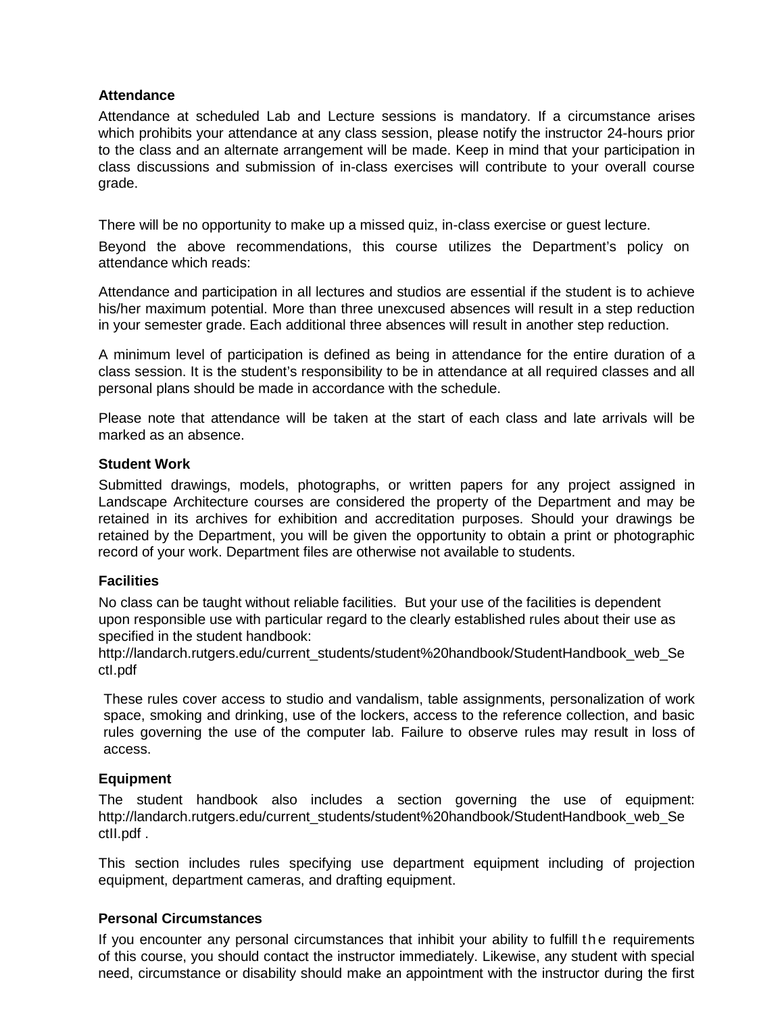## **Attendance**

Attendance at scheduled Lab and Lecture sessions is mandatory. If a circumstance arises which prohibits your attendance at any class session, please notify the instructor 24-hours prior to the class and an alternate arrangement will be made. Keep in mind that your participation in class discussions and submission of in-class exercises will contribute to your overall course grade.

There will be no opportunity to make up a missed quiz, in-class exercise or guest lecture.

Beyond the above recommendations, this course utilizes the Department's policy on attendance which reads:

Attendance and participation in all lectures and studios are essential if the student is to achieve his/her maximum potential. More than three unexcused absences will result in a step reduction in your semester grade. Each additional three absences will result in another step reduction.

A minimum level of participation is defined as being in attendance for the entire duration of a class session. It is the student's responsibility to be in attendance at all required classes and all personal plans should be made in accordance with the schedule.

Please note that attendance will be taken at the start of each class and late arrivals will be marked as an absence.

### **Student Work**

Submitted drawings, models, photographs, or written papers for any project assigned in Landscape Architecture courses are considered the property of the Department and may be retained in its archives for exhibition and accreditation purposes. Should your drawings be retained by the Department, you will be given the opportunity to obtain a print or photographic record of your work. Department files are otherwise not available to students.

## **Facilities**

No class can be taught without reliable facilities. But your use of the facilities is dependent upon responsible use with particular regard to the clearly established rules about their use as specified in the student handbook[:](http://landarch.rutgers.edu/current_students/student%20handbook/StudentHandbook_web_Se)

[http://landarch.rutgers.edu/current\\_students/student%20handbook/StudentHandbook\\_web\\_Se](http://landarch.rutgers.edu/current_students/student%20handbook/StudentHandbook_web_Se) ctI.pdf

These rules cover access to studio and vandalism, table assignments, personalization of work space, smoking and drinking, use of the lockers, access to the reference collection, and basic rules governing the use of the computer lab. Failure to observe rules may result in loss of access.

## **Equipment**

The student handbook also includes a section governing the use of equipment[:](http://landarch.rutgers.edu/current_students/student%20handbook/StudentHandbook_web_Se) [http://landarch.rutgers.edu/current\\_students/student%20handbook/StudentHandbook\\_web\\_Se](http://landarch.rutgers.edu/current_students/student%20handbook/StudentHandbook_web_Se) ctII.pdf .

This section includes rules specifying use department equipment including of projection equipment, department cameras, and drafting equipment.

## **Personal Circumstances**

If you encounter any personal circumstances that inhibit your ability to fulfill the requirements of this course, you should contact the instructor immediately. Likewise, any student with special need, circumstance or disability should make an appointment with the instructor during the first